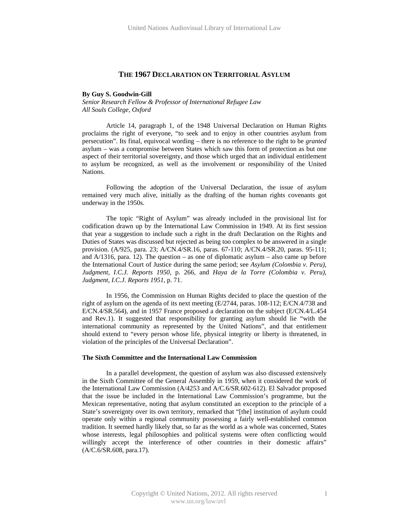# **THE 1967 DECLARATION ON TERRITORIAL ASYLUM**

#### **By Guy S. Goodwin-Gill**

*Senior Research Fellow & Professor of International Refugee Law All Souls College, Oxford* 

Article 14, paragraph 1, of the 1948 Universal Declaration on Human Rights proclaims the right of everyone, "to seek and to enjoy in other countries asylum from persecution". Its final, equivocal wording – there is no reference to the right to be *granted* asylum – was a compromise between States which saw this form of protection as but one aspect of their territorial sovereignty, and those which urged that an individual entitlement to asylum be recognized, as well as the involvement or responsibility of the United **Nations** 

Following the adoption of the Universal Declaration, the issue of asylum remained very much alive, initially as the drafting of the human rights covenants got underway in the 1950s.

The topic "Right of Asylum" was already included in the provisional list for codification drawn up by the International Law Commission in 1949. At its first session that year a suggestion to include such a right in the draft Declaration on the Rights and Duties of States was discussed but rejected as being too complex to be answered in a single provision. (A/925, para. 23; A/CN.4/SR.16, paras. 67-110; A/CN.4/SR.20, paras. 95-111; and  $A/1316$ , para. 12). The question – as one of diplomatic asylum – also came up before the International Court of Justice during the same period; see *Asylum (Colombia v. Peru), Judgment, I.C.J. Reports 1950*, p. 266, and *Haya de la Torre (Colombia v. Peru), Judgment, I.C.J. Reports 1951*, p. 71.

In 1956, the Commission on Human Rights decided to place the question of the right of asylum on the agenda of its next meeting (E/2744, paras. 108-112; E/CN.4/738 and E/CN.4/SR.564), and in 1957 France proposed a declaration on the subject (E/CN.4/L.454 and Rev.1). It suggested that responsibility for granting asylum should lie "with the international community as represented by the United Nations", and that entitlement should extend to "every person whose life, physical integrity or liberty is threatened, in violation of the principles of the Universal Declaration".

#### **The Sixth Committee and the International Law Commission**

In a parallel development, the question of asylum was also discussed extensively in the Sixth Committee of the General Assembly in 1959, when it considered the work of the International Law Commission (A/4253 and A/C.6/SR.602-612). El Salvador proposed that the issue be included in the International Law Commission's programme, but the Mexican representative, noting that asylum constituted an exception to the principle of a State's sovereignty over its own territory, remarked that "[the] institution of asylum could operate only within a regional community possessing a fairly well-established common tradition. It seemed hardly likely that, so far as the world as a whole was concerned, States whose interests, legal philosophies and political systems were often conflicting would willingly accept the interference of other countries in their domestic affairs" (A/C.6/SR.608, para.17).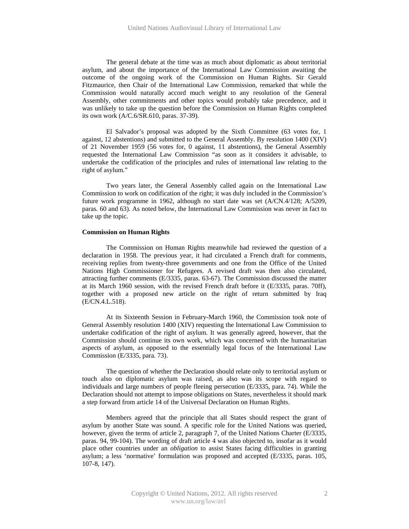The general debate at the time was as much about diplomatic as about territorial asylum, and about the importance of the International Law Commission awaiting the outcome of the ongoing work of the Commission on Human Rights. Sir Gerald Fitzmaurice, then Chair of the International Law Commission, remarked that while the Commission would naturally accord much weight to any resolution of the General Assembly, other commitments and other topics would probably take precedence, and it was unlikely to take up the question before the Commission on Human Rights completed its own work (A/C.6/SR.610, paras. 37-39).

El Salvador's proposal was adopted by the Sixth Committee (63 votes for, 1 against, 12 abstentions) and submitted to the General Assembly. By resolution 1400 (XIV) of 21 November 1959 (56 votes for, 0 against, 11 abstentions), the General Assembly requested the International Law Commission "as soon as it considers it advisable, to undertake the codification of the principles and rules of international law relating to the right of asylum."

Two years later, the General Assembly called again on the International Law Commission to work on codification of the right; it was duly included in the Commission's future work programme in 1962, although no start date was set (A/CN.4/128; A/5209, paras. 60 and 63). As noted below, the International Law Commission was never in fact to take up the topic.

#### **Commission on Human Rights**

The Commission on Human Rights meanwhile had reviewed the question of a declaration in 1958. The previous year, it had circulated a French draft for comments, receiving replies from twenty-three governments and one from the Office of the United Nations High Commissioner for Refugees. A revised draft was then also circulated, attracting further comments (E/3335, paras. 63-67). The Commission discussed the matter at its March 1960 session, with the revised French draft before it (E/3335, paras. 70ff), together with a proposed new article on the right of return submitted by Iraq (E/CN.4.L.518).

At its Sixteenth Session in February-March 1960, the Commission took note of General Assembly resolution 1400 (XIV) requesting the International Law Commission to undertake codification of the right of asylum. It was generally agreed, however, that the Commission should continue its own work, which was concerned with the humanitarian aspects of asylum, as opposed to the essentially legal focus of the International Law Commission (E/3335, para. 73).

The question of whether the Declaration should relate only to territorial asylum or touch also on diplomatic asylum was raised, as also was its scope with regard to individuals and large numbers of people fleeing persecution (E/3335, para. 74). While the Declaration should not attempt to impose obligations on States, nevertheless it should mark a step forward from article 14 of the Universal Declaration on Human Rights.

Members agreed that the principle that all States should respect the grant of asylum by another State was sound. A specific role for the United Nations was queried, however, given the terms of article 2, paragraph 7, of the United Nations Charter (E/3335, paras. 94, 99-104). The wording of draft article 4 was also objected to, insofar as it would place other countries under an *obligation* to assist States facing difficulties in granting asylum; a less 'normative' formulation was proposed and accepted (E/3335, paras. 105, 107-8, 147).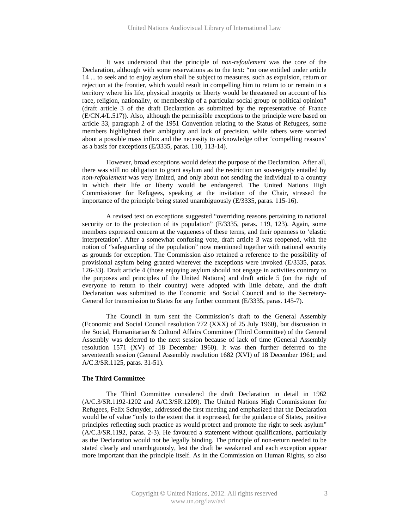It was understood that the principle of *non-refoulement* was the core of the Declaration, although with some reservations as to the text: "no one entitled under article 14 ... to seek and to enjoy asylum shall be subject to measures, such as expulsion, return or rejection at the frontier, which would result in compelling him to return to or remain in a territory where his life, physical integrity or liberty would be threatened on account of his race, religion, nationality, or membership of a particular social group or political opinion" (draft article 3 of the draft Declaration as submitted by the representative of France (E/CN.4/L.517)). Also, although the permissible exceptions to the principle were based on article 33, paragraph 2 of the 1951 Convention relating to the Status of Refugees, some members highlighted their ambiguity and lack of precision, while others were worried about a possible mass influx and the necessity to acknowledge other 'compelling reasons' as a basis for exceptions (E/3335, paras. 110, 113-14).

However, broad exceptions would defeat the purpose of the Declaration. After all, there was still no obligation to grant asylum and the restriction on sovereignty entailed by *non-refoulement* was very limited, and only about not sending the individual to a country in which their life or liberty would be endangered. The United Nations High Commissioner for Refugees, speaking at the invitation of the Chair, stressed the importance of the principle being stated unambiguously (E/3335, paras. 115-16).

A revised text on exceptions suggested "overriding reasons pertaining to national security or to the protection of its population" (E/3335, paras. 119, 123). Again, some members expressed concern at the vagueness of these terms, and their openness to 'elastic interpretation'. After a somewhat confusing vote, draft article 3 was reopened, with the notion of "safeguarding of the population" now mentioned together with national security as grounds for exception. The Commission also retained a reference to the possibility of provisional asylum being granted wherever the exceptions were invoked (E/3335, paras. 126-33). Draft article 4 (those enjoying asylum should not engage in activities contrary to the purposes and principles of the United Nations) and draft article 5 (on the right of everyone to return to their country) were adopted with little debate, and the draft Declaration was submitted to the Economic and Social Council and to the Secretary-General for transmission to States for any further comment (E/3335, paras. 145-7).

The Council in turn sent the Commission's draft to the General Assembly (Economic and Social Council resolution 772 (XXX) of 25 July 1960), but discussion in the Social, Humanitarian & Cultural Affairs Committee (Third Committee) of the General Assembly was deferred to the next session because of lack of time (General Assembly resolution 1571 (XV) of 18 December 1960). It was then further deferred to the seventeenth session (General Assembly resolution 1682 (XVI) of 18 December 1961; and A/C.3/SR.1125, paras. 31-51).

# **The Third Committee**

The Third Committee considered the draft Declaration in detail in 1962 (A/C.3/SR.1192-1202 and A/C.3/SR.1209). The United Nations High Commissioner for Refugees, Felix Schnyder, addressed the first meeting and emphasized that the Declaration would be of value "only to the extent that it expressed, for the guidance of States, positive principles reflecting such practice as would protect and promote the right to seek asylum" (A/C.3/SR.1192, paras. 2-3). He favoured a statement without qualifications, particularly as the Declaration would not be legally binding. The principle of non-return needed to be stated clearly and unambiguously, lest the draft be weakened and each exception appear more important than the principle itself. As in the Commission on Human Rights, so also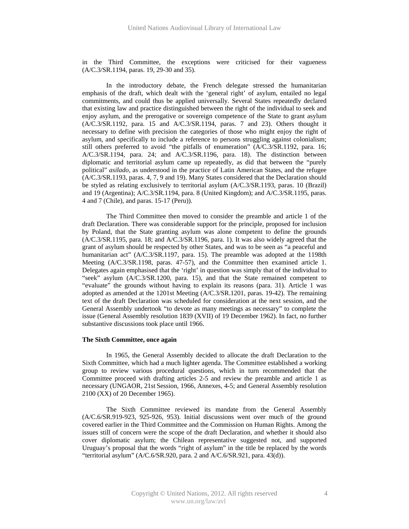in the Third Committee, the exceptions were criticised for their vagueness (A/C.3/SR.1194, paras. 19, 29-30 and 35).

In the introductory debate, the French delegate stressed the humanitarian emphasis of the draft, which dealt with the 'general right' of asylum, entailed no legal commitments, and could thus be applied universally. Several States repeatedly declared that existing law and practice distinguished between the right of the individual to seek and enjoy asylum, and the prerogative or sovereign competence of the State to grant asylum (A/C.3/SR.1192, para. 15 and A/C.3/SR.1194, paras. 7 and 23). Others thought it necessary to define with precision the categories of those who might enjoy the right of asylum, and specifically to include a reference to persons struggling against colonialism; still others preferred to avoid "the pitfalls of enumeration" (A/C.3/SR.1192, para. 16; A/C.3/SR.1194, para. 24; and A/C.3/SR.1196, para. 18). The distinction between diplomatic and territorial asylum came up repeatedly, as did that between the "purely political" *asilado*, as understood in the practice of Latin American States, and the refugee (A/C.3/SR.1193, paras. 4, 7, 9 and 19). Many States considered that the Declaration should be styled as relating exclusively to territorial asylum (A/C.3/SR.1193, paras. 10 (Brazil) and 19 (Argentina); A/C.3/SR.1194, para. 8 (United Kingdom); and A/C.3/SR.1195, paras. 4 and 7 (Chile), and paras. 15-17 (Peru)).

The Third Committee then moved to consider the preamble and article 1 of the draft Declaration. There was considerable support for the principle, proposed for inclusion by Poland, that the State granting asylum was alone competent to define the grounds (A/C.3/SR.1195, para. 18; and A/C.3/SR.1196, para. 1). It was also widely agreed that the grant of asylum should be respected by other States, and was to be seen as "a peaceful and humanitarian act" (A/C.3/SR.1197, para. 15). The preamble was adopted at the 1198th Meeting (A/C.3/SR.1198, paras. 47-57), and the Committee then examined article 1. Delegates again emphasised that the 'right' in question was simply that of the individual to "seek" asylum (A/C.3/SR.1200, para. 15), and that the State remained competent to "evaluate" the grounds without having to explain its reasons (para. 31). Article 1 was adopted as amended at the 1201st Meeting (A/C.3/SR.1201, paras. 19-42). The remaining text of the draft Declaration was scheduled for consideration at the next session, and the General Assembly undertook "to devote as many meetings as necessary" to complete the issue (General Assembly resolution 1839 (XVII) of 19 December 1962). In fact, no further substantive discussions took place until 1966.

### **The Sixth Committee, once again**

In 1965, the General Assembly decided to allocate the draft Declaration to the Sixth Committee, which had a much lighter agenda. The Committee established a working group to review various procedural questions, which in turn recommended that the Committee proceed with drafting articles 2-5 and review the preamble and article 1 as necessary (UNGAOR, 21st Session, 1966, Annexes, 4-5; and General Assembly resolution 2100 (XX) of 20 December 1965).

The Sixth Committee reviewed its mandate from the General Assembly (A/C.6/SR.919-923, 925-926, 953). Initial discussions went over much of the ground covered earlier in the Third Committee and the Commission on Human Rights. Among the issues still of concern were the scope of the draft Declaration, and whether it should also cover diplomatic asylum; the Chilean representative suggested not, and supported Uruguay's proposal that the words "right of asylum" in the title be replaced by the words "territorial asylum" (A/C.6/SR.920, para. 2 and A/C.6/SR.921, para. 43(d)).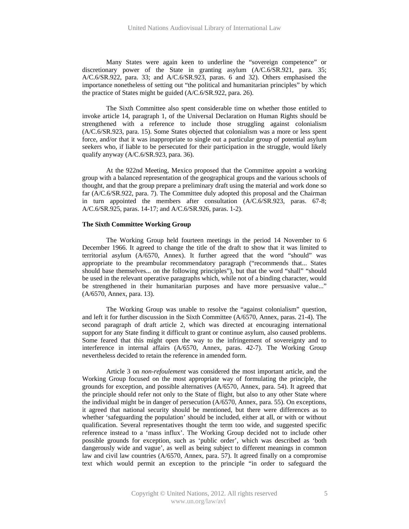Many States were again keen to underline the "sovereign competence" or discretionary power of the State in granting asylum (A/C.6/SR.921, para. 35; A/C.6/SR.922, para. 33; and A/C.6/SR.923, paras. 6 and 32). Others emphasised the importance nonetheless of setting out "the political and humanitarian principles" by which the practice of States might be guided (A/C.6/SR.922, para. 26).

The Sixth Committee also spent considerable time on whether those entitled to invoke article 14, paragraph 1, of the Universal Declaration on Human Rights should be strengthened with a reference to include those struggling against colonialism (A/C.6/SR.923, para. 15). Some States objected that colonialism was a more or less spent force, and/or that it was inappropriate to single out a particular group of potential asylum seekers who, if liable to be persecuted for their participation in the struggle, would likely qualify anyway (A/C.6/SR.923, para. 36).

At the 922nd Meeting, Mexico proposed that the Committee appoint a working group with a balanced representation of the geographical groups and the various schools of thought, and that the group prepare a preliminary draft using the material and work done so far (A/C.6/SR.922, para. 7). The Committee duly adopted this proposal and the Chairman in turn appointed the members after consultation (A/C.6/SR.923, paras. 67-8; A/C.6/SR.925, paras. 14-17; and A/C.6/SR.926, paras. 1-2).

### **The Sixth Committee Working Group**

The Working Group held fourteen meetings in the period 14 November to 6 December 1966. It agreed to change the title of the draft to show that it was limited to territorial asylum (A/6570, Annex). It further agreed that the word "should" was appropriate to the preambular recommendatory paragraph ("recommends that... States should base themselves... on the following principles"), but that the word "shall" "should be used in the relevant operative paragraphs which, while not of a binding character, would be strengthened in their humanitarian purposes and have more persuasive value..." (A/6570, Annex, para. 13).

The Working Group was unable to resolve the "against colonialism" question, and left it for further discussion in the Sixth Committee (A/6570, Annex, paras. 21-4). The second paragraph of draft article 2, which was directed at encouraging international support for any State finding it difficult to grant or continue asylum, also caused problems. Some feared that this might open the way to the infringement of sovereignty and to interference in internal affairs (A/6570, Annex, paras. 42-7). The Working Group nevertheless decided to retain the reference in amended form.

Article 3 on *non-refoulement* was considered the most important article, and the Working Group focused on the most appropriate way of formulating the principle, the grounds for exception, and possible alternatives (A/6570, Annex, para. 54). It agreed that the principle should refer not only to the State of flight, but also to any other State where the individual might be in danger of persecution (A/6570, Annex, para. 55). On exceptions, it agreed that national security should be mentioned, but there were differences as to whether 'safeguarding the population' should be included, either at all, or with or without qualification. Several representatives thought the term too wide, and suggested specific reference instead to a 'mass influx'. The Working Group decided not to include other possible grounds for exception, such as 'public order', which was described as 'both dangerously wide and vague', as well as being subject to different meanings in common law and civil law countries (A/6570, Annex, para. 57). It agreed finally on a compromise text which would permit an exception to the principle "in order to safeguard the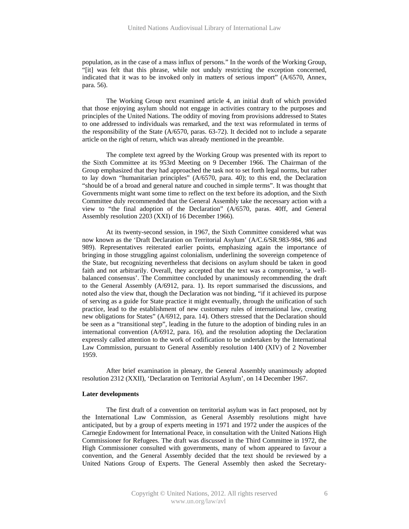population, as in the case of a mass influx of persons." In the words of the Working Group, "[it] was felt that this phrase, while not unduly restricting the exception concerned, indicated that it was to be invoked only in matters of serious import" (A/6570, Annex, para. 56).

The Working Group next examined article 4, an initial draft of which provided that those enjoying asylum should not engage in activities contrary to the purposes and principles of the United Nations. The oddity of moving from provisions addressed to States to one addressed to individuals was remarked, and the text was reformulated in terms of the responsibility of the State (A/6570, paras. 63-72). It decided not to include a separate article on the right of return, which was already mentioned in the preamble.

The complete text agreed by the Working Group was presented with its report to the Sixth Committee at its 953rd Meeting on 9 December 1966. The Chairman of the Group emphasized that they had approached the task not to set forth legal norms, but rather to lay down "humanitarian principles" (A/6570, para. 40); to this end, the Declaration "should be of a broad and general nature and couched in simple terms". It was thought that Governments might want some time to reflect on the text before its adoption, and the Sixth Committee duly recommended that the General Assembly take the necessary action with a view to "the final adoption of the Declaration" (A/6570, paras. 40ff, and General Assembly resolution 2203 (XXI) of 16 December 1966).

At its twenty-second session, in 1967, the Sixth Committee considered what was now known as the 'Draft Declaration on Territorial Asylum' (A/C.6/SR.983-984, 986 and 989). Representatives reiterated earlier points, emphasizing again the importance of bringing in those struggling against colonialism, underlining the sovereign competence of the State, but recognizing nevertheless that decisions on asylum should be taken in good faith and not arbitrarily. Overall, they accepted that the text was a compromise, 'a wellbalanced consensus'. The Committee concluded by unanimously recommending the draft to the General Assembly (A/6912, para. 1). Its report summarised the discussions, and noted also the view that, though the Declaration was not binding, "if it achieved its purpose of serving as a guide for State practice it might eventually, through the unification of such practice, lead to the establishment of new customary rules of international law, creating new obligations for States" (A/6912, para. 14). Others stressed that the Declaration should be seen as a "transitional step", leading in the future to the adoption of binding rules in an international convention (A/6912, para. 16), and the resolution adopting the Declaration expressly called attention to the work of codification to be undertaken by the International Law Commission, pursuant to General Assembly resolution 1400 (XIV) of 2 November 1959.

After brief examination in plenary, the General Assembly unanimously adopted resolution 2312 (XXII), 'Declaration on Territorial Asylum', on 14 December 1967.

#### **Later developments**

The first draft of a convention on territorial asylum was in fact proposed, not by the International Law Commission, as General Assembly resolutions might have anticipated, but by a group of experts meeting in 1971 and 1972 under the auspices of the Carnegie Endowment for International Peace, in consultation with the United Nations High Commissioner for Refugees. The draft was discussed in the Third Committee in 1972, the High Commissioner consulted with governments, many of whom appeared to favour a convention, and the General Assembly decided that the text should be reviewed by a United Nations Group of Experts. The General Assembly then asked the Secretary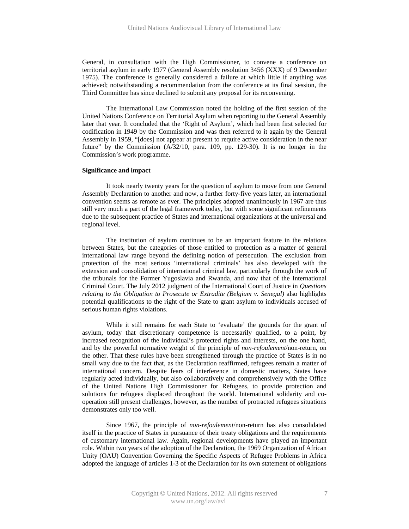General, in consultation with the High Commissioner, to convene a conference on territorial asylum in early 1977 (General Assembly resolution 3456 (XXX) of 9 December 1975). The conference is generally considered a failure at which little if anything was achieved; notwithstanding a recommendation from the conference at its final session, the Third Committee has since declined to submit any proposal for its reconvening.

The International Law Commission noted the holding of the first session of the United Nations Conference on Territorial Asylum when reporting to the General Assembly later that year. It concluded that the 'Right of Asylum', which had been first selected for codification in 1949 by the Commission and was then referred to it again by the General Assembly in 1959, "[does] not appear at present to require active consideration in the near future" by the Commission (A/32/10, para. 109, pp. 129-30). It is no longer in the Commission's work programme.

### **Significance and impact**

It took nearly twenty years for the question of asylum to move from one General Assembly Declaration to another and now, a further forty-five years later, an international convention seems as remote as ever. The principles adopted unanimously in 1967 are thus still very much a part of the legal framework today, but with some significant refinements due to the subsequent practice of States and international organizations at the universal and regional level.

The institution of asylum continues to be an important feature in the relations between States, but the categories of those entitled to protection as a matter of general international law range beyond the defining notion of persecution. The exclusion from protection of the most serious 'international criminals' has also developed with the extension and consolidation of international criminal law, particularly through the work of the tribunals for the Former Yugoslavia and Rwanda, and now that of the International Criminal Court. The July 2012 judgment of the International Court of Justice in *Questions relating to the Obligation to Prosecute or Extradite (Belgium v. Senegal)* also highlights potential qualifications to the right of the State to grant asylum to individuals accused of serious human rights violations.

While it still remains for each State to 'evaluate' the grounds for the grant of asylum, today that discretionary competence is necessarily qualified, to a point, by increased recognition of the individual's protected rights and interests, on the one hand, and by the powerful normative weight of the principle of *non-refoulement*/non-return, on the other. That these rules have been strengthened through the practice of States is in no small way due to the fact that, as the Declaration reaffirmed, refugees remain a matter of international concern. Despite fears of interference in domestic matters, States have regularly acted individually, but also collaboratively and comprehensively with the Office of the United Nations High Commissioner for Refugees, to provide protection and solutions for refugees displaced throughout the world. International solidarity and cooperation still present challenges, however, as the number of protracted refugees situations demonstrates only too well.

Since 1967, the principle of *non-refoulement*/non-return has also consolidated itself in the practice of States in pursuance of their treaty obligations and the requirements of customary international law. Again, regional developments have played an important role. Within two years of the adoption of the Declaration, the 1969 Organization of African Unity (OAU) Convention Governing the Specific Aspects of Refugee Problems in Africa adopted the language of articles 1-3 of the Declaration for its own statement of obligations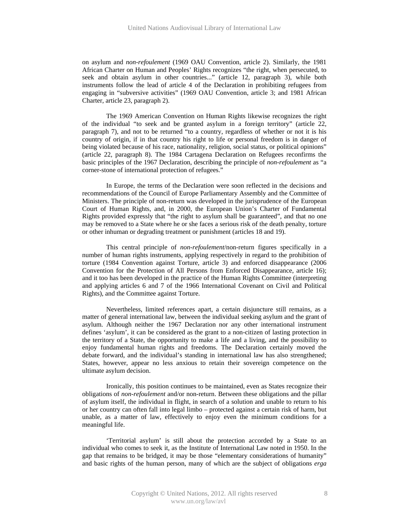on asylum and *non-refoulement* (1969 OAU Convention, article 2). Similarly, the 1981 African Charter on Human and Peoples' Rights recognizes "the right, when persecuted, to seek and obtain asylum in other countries..." (article 12, paragraph 3), while both instruments follow the lead of article 4 of the Declaration in prohibiting refugees from engaging in "subversive activities" (1969 OAU Convention, article 3; and 1981 African Charter, article 23, paragraph 2).

The 1969 American Convention on Human Rights likewise recognizes the right of the individual "to seek and be granted asylum in a foreign territory" (article 22, paragraph 7), and not to be returned "to a country, regardless of whether or not it is his country of origin, if in that country his right to life or personal freedom is in danger of being violated because of his race, nationality, religion, social status, or political opinions" (article 22, paragraph 8). The 1984 Cartagena Declaration on Refugees reconfirms the basic principles of the 1967 Declaration, describing the principle of *non-refoulement* as "a corner-stone of international protection of refugees."

In Europe, the terms of the Declaration were soon reflected in the decisions and recommendations of the Council of Europe Parliamentary Assembly and the Committee of Ministers. The principle of non-return was developed in the jurisprudence of the European Court of Human Rights, and, in 2000, the European Union's Charter of Fundamental Rights provided expressly that "the right to asylum shall be guaranteed", and that no one may be removed to a State where he or she faces a serious risk of the death penalty, torture or other inhuman or degrading treatment or punishment (articles 18 and 19).

This central principle of *non-refoulement*/non-return figures specifically in a number of human rights instruments, applying respectively in regard to the prohibition of torture (1984 Convention against Torture, article 3) and enforced disappearance (2006 Convention for the Protection of All Persons from Enforced Disappearance, article 16); and it too has been developed in the practice of the Human Rights Committee (interpreting and applying articles 6 and 7 of the 1966 International Covenant on Civil and Political Rights), and the Committee against Torture.

Nevertheless, limited references apart, a certain disjuncture still remains, as a matter of general international law, between the individual seeking asylum and the grant of asylum. Although neither the 1967 Declaration nor any other international instrument defines 'asylum', it can be considered as the grant to a non-citizen of lasting protection in the territory of a State, the opportunity to make a life and a living, and the possibility to enjoy fundamental human rights and freedoms. The Declaration certainly moved the debate forward, and the individual's standing in international law has also strengthened; States, however, appear no less anxious to retain their sovereign competence on the ultimate asylum decision.

Ironically, this position continues to be maintained, even as States recognize their obligations of *non-refoulement* and/or non-return. Between these obligations and the pillar of asylum itself, the individual in flight, in search of a solution and unable to return to his or her country can often fall into legal limbo – protected against a certain risk of harm, but unable, as a matter of law, effectively to enjoy even the minimum conditions for a meaningful life.

'Territorial asylum' is still about the protection accorded by a State to an individual who comes to seek it, as the Institute of International Law noted in 1950. In the gap that remains to be bridged, it may be those "elementary considerations of humanity" and basic rights of the human person, many of which are the subject of obligations *erga*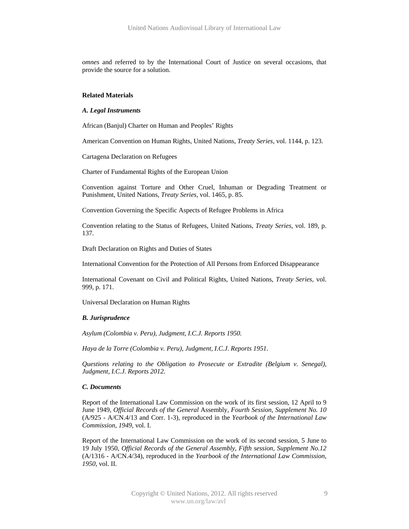*omnes* and referred to by the International Court of Justice on several occasions, that provide the source for a solution.

#### **Related Materials**

#### *A. Legal Instruments*

African (Banjul) Charter on Human and Peoples' Rights

American Convention on Human Rights, United Nations, *Treaty Series*, vol. 1144, p. 123.

Cartagena Declaration on Refugees

Charter of Fundamental Rights of the European Union

Convention against Torture and Other Cruel, Inhuman or Degrading Treatment or Punishment, United Nations, *Treaty Series*, vol. 1465, p. 85.

Convention Governing the Specific Aspects of Refugee Problems in Africa

Convention relating to the Status of Refugees, United Nations, *Treaty Series*, vol. 189, p. 137.

Draft Declaration on Rights and Duties of States

International Convention for the Protection of All Persons from Enforced Disappearance

International Covenant on Civil and Political Rights, United Nations, *Treaty Series*, vol. 999, p. 171.

Universal Declaration on Human Rights

#### *B. Jurisprudence*

*Asylum (Colombia v. Peru), Judgment, I.C.J. Reports 1950.* 

*Haya de la Torre (Colombia v. Peru), Judgment, I.C.J. Reports 1951.* 

*Questions relating to the Obligation to Prosecute or Extradite (Belgium v. Senegal), Judgment, I.C.J. Reports 2012.* 

### *C. Documents*

Report of the International Law Commission on the work of its first session, 12 April to 9 June 1949, *Official Records of the General* Assembly*, Fourth Session, Supplement No. 10* (A/925 - A/CN.4/13 and Corr. 1-3), reproduced in the *Yearbook of the International Law Commission, 1949*, vol. I.

Report of the International Law Commission on the work of its second session, 5 June to 19 July 1950, *Official Records of the General Assembly, Fifth session, Supplement No.12*  (A/1316 - A/CN.4/34), reproduced in the *Yearbook of the International Law Commission, 1950*, vol. II.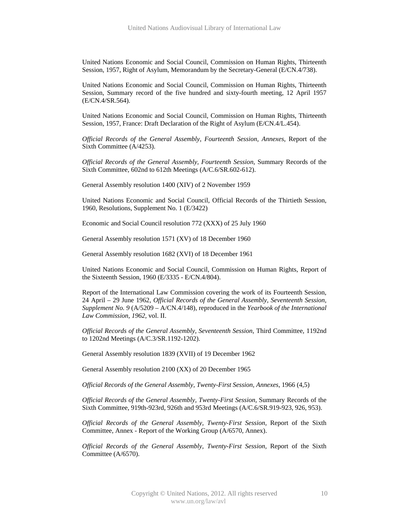United Nations Economic and Social Council, Commission on Human Rights, Thirteenth Session, 1957, Right of Asylum, Memorandum by the Secretary-General (E/CN.4/738).

United Nations Economic and Social Council, Commission on Human Rights, Thirteenth Session, Summary record of the five hundred and sixty-fourth meeting, 12 April 1957 (E/CN.4/SR.564).

United Nations Economic and Social Council, Commission on Human Rights, Thirteenth Session, 1957, France: Draft Declaration of the Right of Asylum (E/CN.4/L.454).

*Official Records of the General Assembly, Fourteenth Session, Annexes*, Report of the Sixth Committee (A/4253).

*Official Records of the General Assembly, Fourteenth Session,* Summary Records of the Sixth Committee, 602nd to 612th Meetings (A/C.6/SR.602-612).

General Assembly resolution 1400 (XIV) of 2 November 1959

United Nations Economic and Social Council, Official Records of the Thirtieth Session, 1960, Resolutions, Supplement No. 1 (E/3422)

Economic and Social Council resolution 772 (XXX) of 25 July 1960

General Assembly resolution 1571 (XV) of 18 December 1960

General Assembly resolution 1682 (XVI) of 18 December 1961

United Nations Economic and Social Council, Commission on Human Rights, Report of the Sixteenth Session, 1960 (E/3335 - E/CN.4/804).

Report of the International Law Commission covering the work of its Fourteenth Session, 24 April – 29 June 1962, *Official Records of the General Assembly, Seventeenth Session, Supplement No. 9* (A/5209 – A/CN.4/148), reproduced in the *Yearbook of the International Law Commission, 1962,* vol. II.

*Official Records of the General Assembly, Seventeenth Session,* Third Committee, 1192nd to 1202nd Meetings (A/C.3/SR.1192-1202).

General Assembly resolution 1839 (XVII) of 19 December 1962

General Assembly resolution 2100 (XX) of 20 December 1965

*Official Records of the General Assembly, Twenty-First Session, Annexes*, 1966 (4,5)

*Official Records of the General Assembly, Twenty-First Session,* Summary Records of the Sixth Committee, 919th-923rd, 926th and 953rd Meetings (A/C.6/SR.919-923, 926, 953).

*Official Records of the General Assembly, Twenty-First Session,* Report of the Sixth Committee, Annex - Report of the Working Group (A/6570, Annex).

*Official Records of the General Assembly, Twenty-First Session,* Report of the Sixth Committee (A/6570).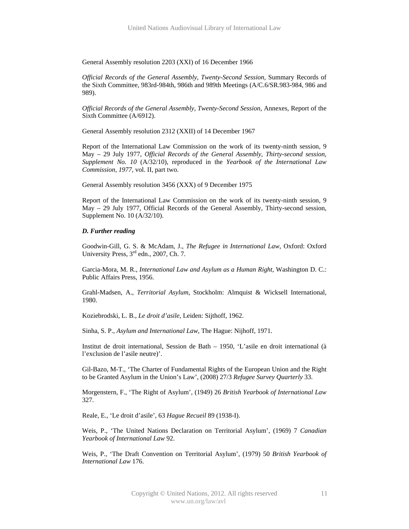General Assembly resolution 2203 (XXI) of 16 December 1966

*Official Records of the General Assembly, Twenty-Second Session,* Summary Records of the Sixth Committee, 983rd-984th, 986th and 989th Meetings (A/C.6/SR.983-984, 986 and 989).

*Official Records of the General Assembly, Twenty-Second Session*, Annexes, Report of the Sixth Committee (A/6912).

General Assembly resolution 2312 (XXII) of 14 December 1967

Report of the International Law Commission on the work of its twenty-ninth session, 9 May – 29 July 1977, *Official Records of the General Assembly, Thirty-second session, Supplement No. 10* (A/32/10), reproduced in the *Yearbook of the International Law Commission, 1977,* vol. II, part two.

General Assembly resolution 3456 (XXX) of 9 December 1975

Report of the International Law Commission on the work of its twenty-ninth session, 9 May – 29 July 1977, Official Records of the General Assembly, Thirty-second session, Supplement No. 10 (A/32/10).

### *D. Further reading*

Goodwin-Gill, G. S. & McAdam, J., *The Refugee in International Law*, Oxford: Oxford University Press,  $3<sup>rd</sup>$  edn., 2007, Ch. 7.

Garcia-Mora, M. R., *International Law and Asylum as a Human Right*, Washington D. C.: Public Affairs Press, 1956.

Grahl-Madsen, A., *Territorial Asylum*, Stockholm: Almquist & Wicksell International, 1980.

Koziebrodski, L. B., *Le droit d'asile*, Leiden: Sijthoff, 1962.

Sinha, S. P., *Asylum and International Law*, The Hague: Nijhoff, 1971.

Institut de droit international, Session de Bath – 1950, 'L'asile en droit international (à l'exclusion de l'asile neutre)'.

Gil-Bazo, M-T., 'The Charter of Fundamental Rights of the European Union and the Right to be Granted Asylum in the Union's Law', (2008) 27/3 *Refugee Survey Quarterly* 33.

Morgenstern, F., 'The Right of Asylum', (1949) 26 *British Yearbook of International Law* 327.

Reale, E., 'Le droit d'asile', 63 *Hague Recueil* 89 (1938-I).

Weis, P., 'The United Nations Declaration on Territorial Asylum', (1969) 7 *Canadian Yearbook of International Law* 92.

Weis, P., 'The Draft Convention on Territorial Asylum', (1979) 50 *British Yearbook of International Law* 176.